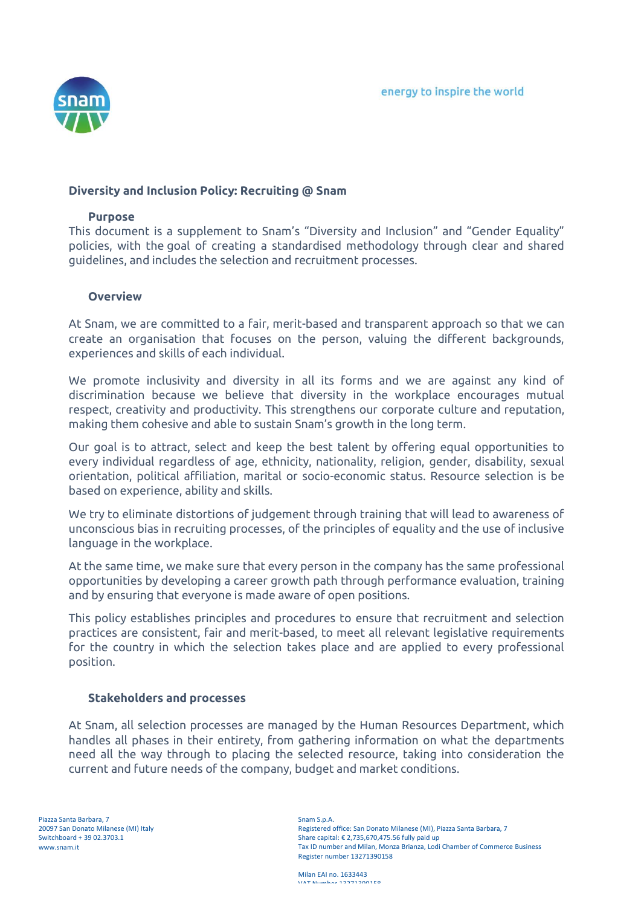

# **Diversity and Inclusion Policy: Recruiting @ Snam**

### **Purpose**

This document is a supplement to Snam's "Diversity and Inclusion" and "Gender Equality" policies, with the goal of creating a standardised methodology through clear and shared guidelines, and includes the selection and recruitment processes.

### **Overview**

At Snam, we are committed to a fair, merit-based and transparent approach so that we can create an organisation that focuses on the person, valuing the different backgrounds, experiences and skills of each individual.

We promote inclusivity and diversity in all its forms and we are against any kind of discrimination because we believe that diversity in the workplace encourages mutual respect, creativity and productivity. This strengthens our corporate culture and reputation, making them cohesive and able to sustain Snam's growth in the long term.

Our goal is to attract, select and keep the best talent by offering equal opportunities to every individual regardless of age, ethnicity, nationality, religion, gender, disability, sexual orientation, political affiliation, marital or socio-economic status. Resource selection is be based on experience, ability and skills.

We try to eliminate distortions of judgement through training that will lead to awareness of unconscious bias in recruiting processes, of the principles of equality and the use of inclusive language in the workplace.

At the same time, we make sure that every person in the company has the same professional opportunities by developing a career growth path through performance evaluation, training and by ensuring that everyone is made aware of open positions.

This policy establishes principles and procedures to ensure that recruitment and selection practices are consistent, fair and merit-based, to meet all relevant legislative requirements for the country in which the selection takes place and are applied to every professional position.

### **Stakeholders and processes**

At Snam, all selection processes are managed by the Human Resources Department, which handles all phases in their entirety, from gathering information on what the departments need all the way through to placing the selected resource, taking into consideration the current and future needs of the company, budget and market conditions.

Milan EAI no. 1633443 VAT NUMBER 499749004F0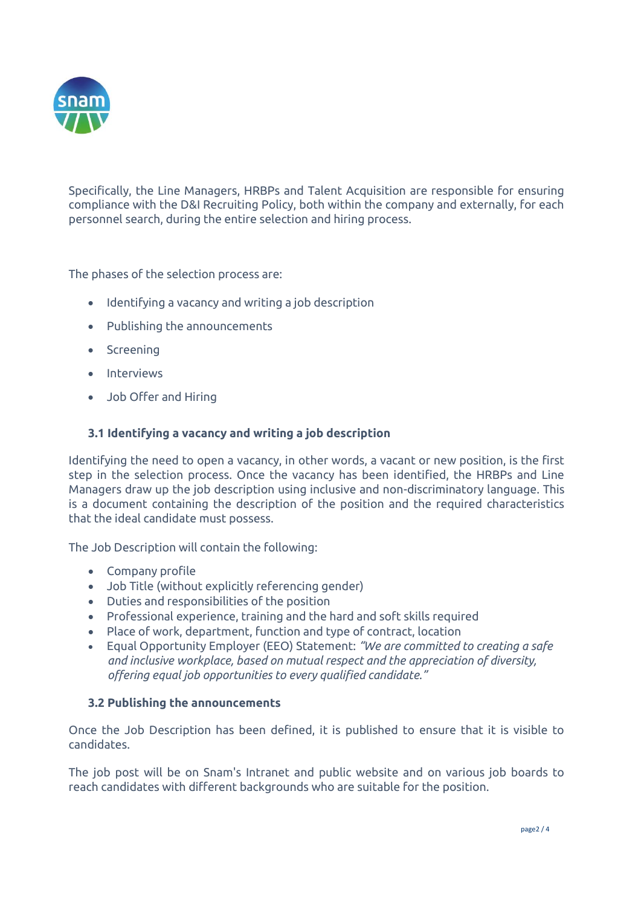

Specifically, the Line Managers, HRBPs and Talent Acquisition are responsible for ensuring compliance with the D&I Recruiting Policy, both within the company and externally, for each personnel search, during the entire selection and hiring process.

The phases of the selection process are:

- Identifying a vacancy and writing a job description
- Publishing the announcements
- Screening
- Interviews
- Job Offer and Hiring

# **3.1 Identifying a vacancy and writing a job description**

Identifying the need to open a vacancy, in other words, a vacant or new position, is the first step in the selection process. Once the vacancy has been identified, the HRBPs and Line Managers draw up the job description using inclusive and non-discriminatory language. This is a document containing the description of the position and the required characteristics that the ideal candidate must possess.

The Job Description will contain the following:

- Company profile
- Job Title (without explicitly referencing gender)
- Duties and responsibilities of the position
- Professional experience, training and the hard and soft skills required
- Place of work, department, function and type of contract, location
- Equal Opportunity Employer (EEO) Statement: *"We are committed to creating a safe and inclusive workplace, based on mutual respect and the appreciation of diversity, offering equal job opportunities to every qualified candidate."*

## **3.2 Publishing the announcements**

Once the Job Description has been defined, it is published to ensure that it is visible to candidates.

The job post will be on Snam's Intranet and public website and on various job boards to reach candidates with different backgrounds who are suitable for the position.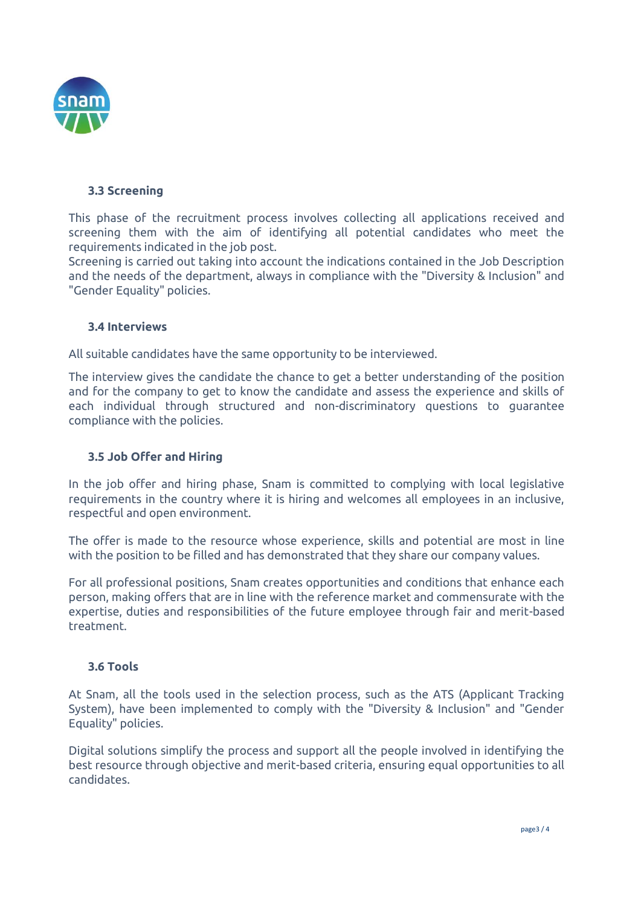

# **3.3 Screening**

This phase of the recruitment process involves collecting all applications received and screening them with the aim of identifying all potential candidates who meet the requirements indicated in the job post.

Screening is carried out taking into account the indications contained in the Job Description and the needs of the department, always in compliance with the "Diversity & Inclusion" and "Gender Equality" policies.

## **3.4 Interviews**

All suitable candidates have the same opportunity to be interviewed.

The interview gives the candidate the chance to get a better understanding of the position and for the company to get to know the candidate and assess the experience and skills of each individual through structured and non-discriminatory questions to guarantee compliance with the policies.

## **3.5 Job Offer and Hiring**

In the job offer and hiring phase, Snam is committed to complying with local legislative requirements in the country where it is hiring and welcomes all employees in an inclusive, respectful and open environment.

The offer is made to the resource whose experience, skills and potential are most in line with the position to be filled and has demonstrated that they share our company values.

For all professional positions, Snam creates opportunities and conditions that enhance each person, making offers that are in line with the reference market and commensurate with the expertise, duties and responsibilities of the future employee through fair and merit-based treatment.

## **3.6 Tools**

At Snam, all the tools used in the selection process, such as the ATS (Applicant Tracking System), have been implemented to comply with the "Diversity & Inclusion" and "Gender Equality" policies.

Digital solutions simplify the process and support all the people involved in identifying the best resource through objective and merit-based criteria, ensuring equal opportunities to all candidates.